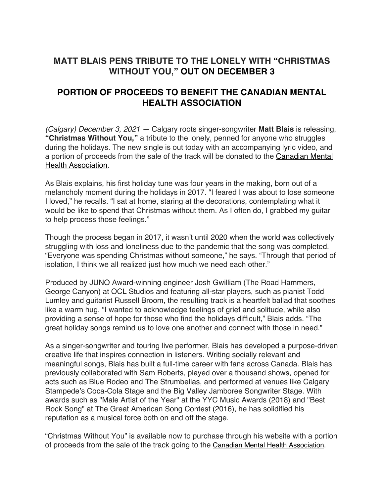## **MATT BLAIS PENS TRIBUTE TO THE LONELY WITH "CHRISTMAS WITHOUT YOU," OUT ON DECEMBER 3**

## **PORTION OF PROCEEDS TO BENEFIT THE CANADIAN MENTAL HEALTH ASSOCIATION**

*(Calgary) December 3, 2021 —* Calgary roots singer-songwriter **Matt Blais** is releasing, **"Christmas Without You,"** a tribute to the lonely, penned for anyone who struggles during the holidays. The new single is out today with an accompanying lyric video, and a portion of proceeds from the sale of the track will be donated to the Canadian Mental Health Association.

As Blais explains, his first holiday tune was four years in the making, born out of a melancholy moment during the holidays in 2017. "I feared I was about to lose someone I loved," he recalls. "I sat at home, staring at the decorations, contemplating what it would be like to spend that Christmas without them. As I often do, I grabbed my guitar to help process those feelings."

Though the process began in 2017, it wasn't until 2020 when the world was collectively struggling with loss and loneliness due to the pandemic that the song was completed. "Everyone was spending Christmas without someone," he says. "Through that period of isolation, I think we all realized just how much we need each other."

Produced by JUNO Award-winning engineer Josh Gwilliam (The Road Hammers, George Canyon) at OCL Studios and featuring all-star players, such as pianist Todd Lumley and guitarist Russell Broom, the resulting track is a heartfelt ballad that soothes like a warm hug. "I wanted to acknowledge feelings of grief and solitude, while also providing a sense of hope for those who find the holidays difficult," Blais adds. "The great holiday songs remind us to love one another and connect with those in need."

As a singer-songwriter and touring live performer, Blais has developed a purpose-driven creative life that inspires connection in listeners. Writing socially relevant and meaningful songs, Blais has built a full-time career with fans across Canada. Blais has previously collaborated with Sam Roberts, played over a thousand shows, opened for acts such as Blue Rodeo and The Strumbellas, and performed at venues like Calgary Stampede's Coca-Cola Stage and the Big Valley Jamboree Songwriter Stage. With awards such as "Male Artist of the Year" at the YYC Music Awards (2018) and "Best Rock Song" at The Great American Song Contest (2016), he has solidified his reputation as a musical force both on and off the stage.

"Christmas Without You" is available now to purchase through his website with a portion of proceeds from the sale of the track going to the Canadian Mental Health Association.